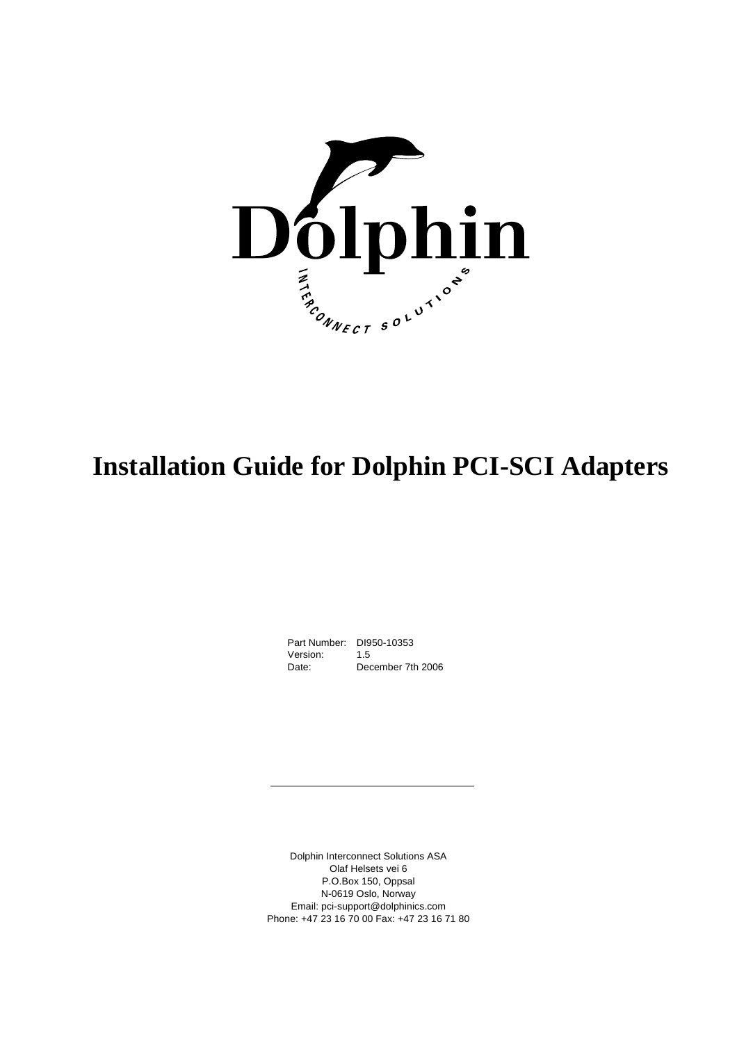

# **Installation Guide for Dolphin PCI-SCI Adapters**

Part Number: DI950-10353 Version: 1.5 Date: December 7th 2006

Dolphin Interconnect Solutions ASA Olaf Helsets vei 6 P.O.Box 150, Oppsal N-0619 Oslo, Norway Email: pci-support@dolphinics.com Phone: +47 23 16 70 00 Fax: +47 23 16 71 80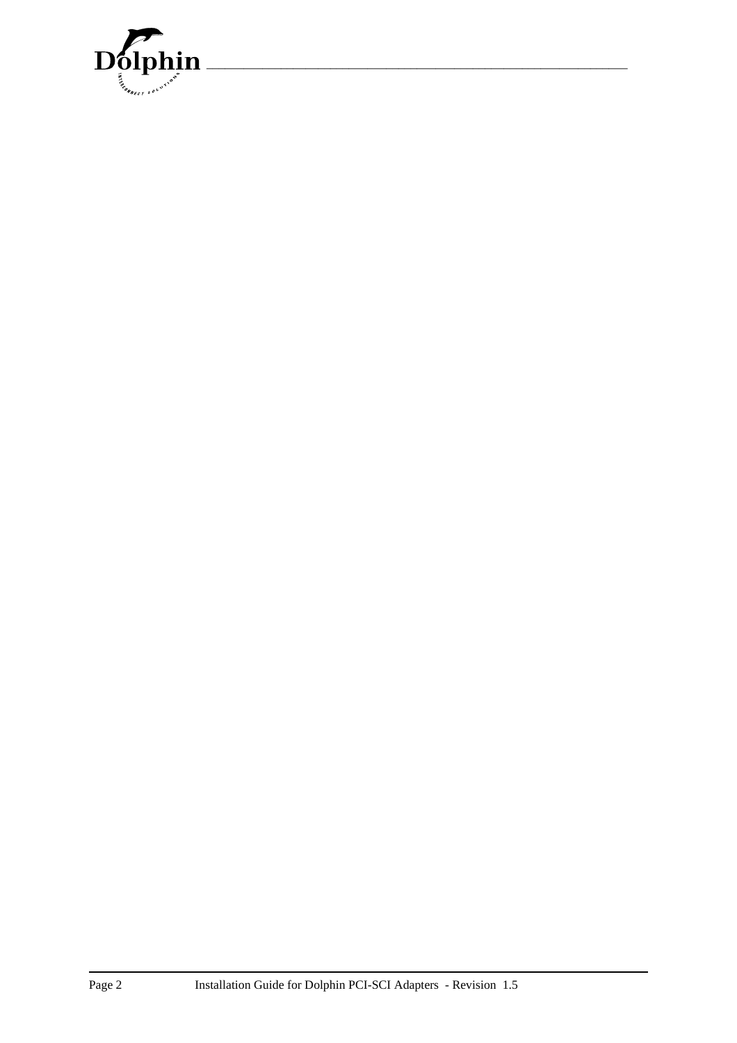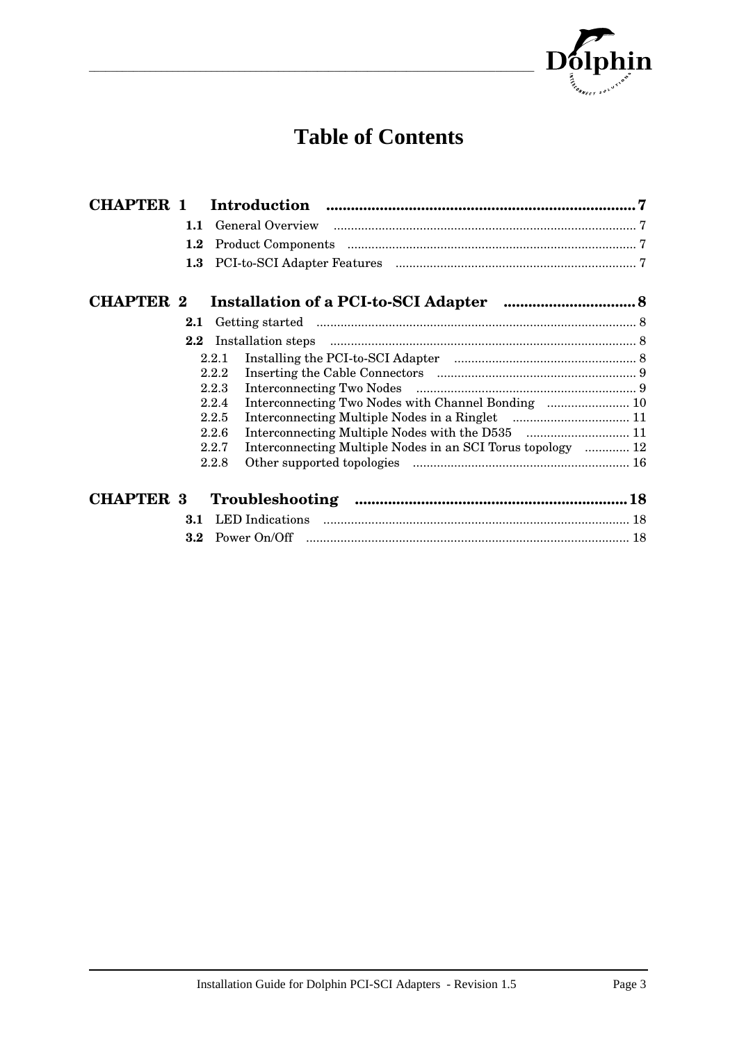

## **Table of Contents**

\_\_\_\_\_\_\_\_\_\_\_\_\_\_\_\_\_\_\_\_\_\_\_\_\_\_\_\_\_\_\_\_\_\_\_\_\_\_\_\_\_\_\_\_\_\_\_\_\_\_\_\_\_\_\_\_\_\_\_\_\_\_\_\_\_\_\_\_\_\_\_\_\_\_\_\_\_\_\_\_

| <b>CHAPTER 1</b> |         |                                                                                                          |  |
|------------------|---------|----------------------------------------------------------------------------------------------------------|--|
|                  | 1.1     |                                                                                                          |  |
|                  | 1.2     |                                                                                                          |  |
|                  | 1.3     |                                                                                                          |  |
| <b>CHAPTER 2</b> |         |                                                                                                          |  |
|                  | $2.1\,$ | Getting started manufactured communications of a started communication of a started communication of $8$ |  |
|                  | 2.2     |                                                                                                          |  |
|                  |         | 2.2.1                                                                                                    |  |
|                  |         | 2.2.2                                                                                                    |  |
|                  |         | 2.2.3                                                                                                    |  |
|                  |         | 2.2.4                                                                                                    |  |
|                  |         | 2.2.5                                                                                                    |  |
|                  |         | 2.2.6                                                                                                    |  |
|                  |         | Interconnecting Multiple Nodes in an SCI Torus topology  12<br>2.2.7                                     |  |
|                  |         | 2.2.8                                                                                                    |  |
| <b>CHAPTER 3</b> |         |                                                                                                          |  |
|                  | 3.1     |                                                                                                          |  |
|                  |         |                                                                                                          |  |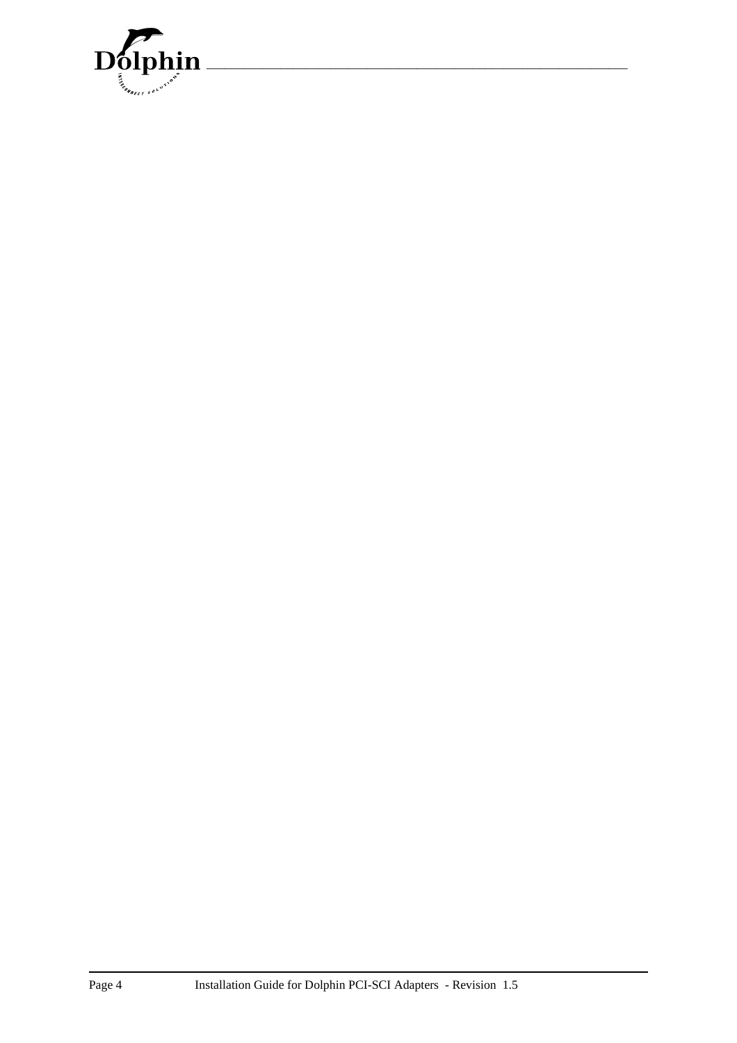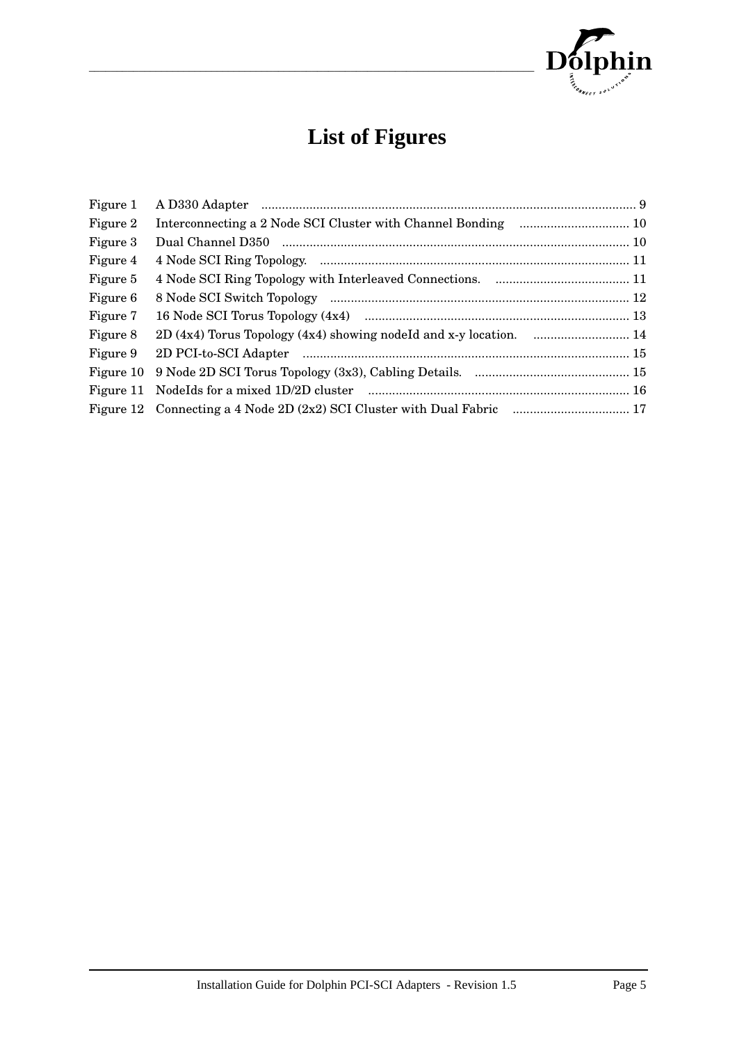

# **List of Figures**

\_\_\_\_\_\_\_\_\_\_\_\_\_\_\_\_\_\_\_\_\_\_\_\_\_\_\_\_\_\_\_\_\_\_\_\_\_\_\_\_\_\_\_\_\_\_\_\_\_\_\_\_\_\_\_\_\_\_\_\_\_\_\_\_\_\_\_\_\_\_\_\_\_\_\_\_\_\_\_\_

| Figure 1  |                                                                                                      |
|-----------|------------------------------------------------------------------------------------------------------|
| Figure 2  |                                                                                                      |
| Figure 3  |                                                                                                      |
| Figure 4  |                                                                                                      |
| Figure 5  |                                                                                                      |
| Figure 6  |                                                                                                      |
| Figure 7  |                                                                                                      |
| Figure 8  |                                                                                                      |
| Figure 9  |                                                                                                      |
| Figure 10 |                                                                                                      |
| Figure 11 | NodeIds for a mixed 1D/2D cluster manufactured in the 16 model of the 100 model of the Marian and 16 |
|           |                                                                                                      |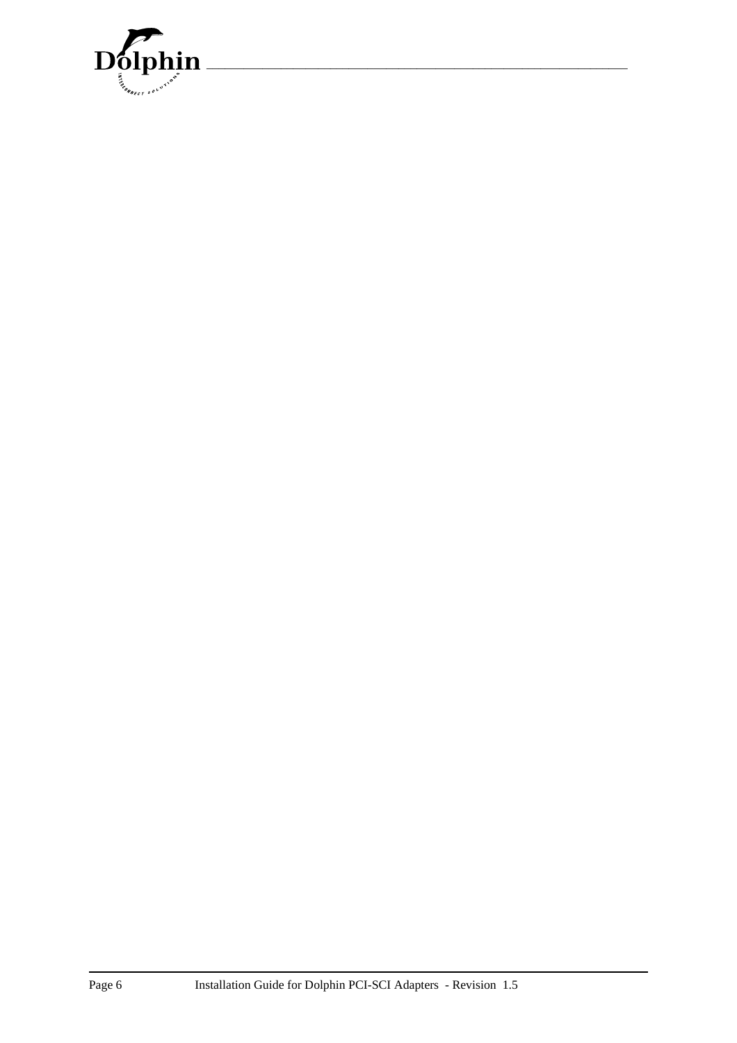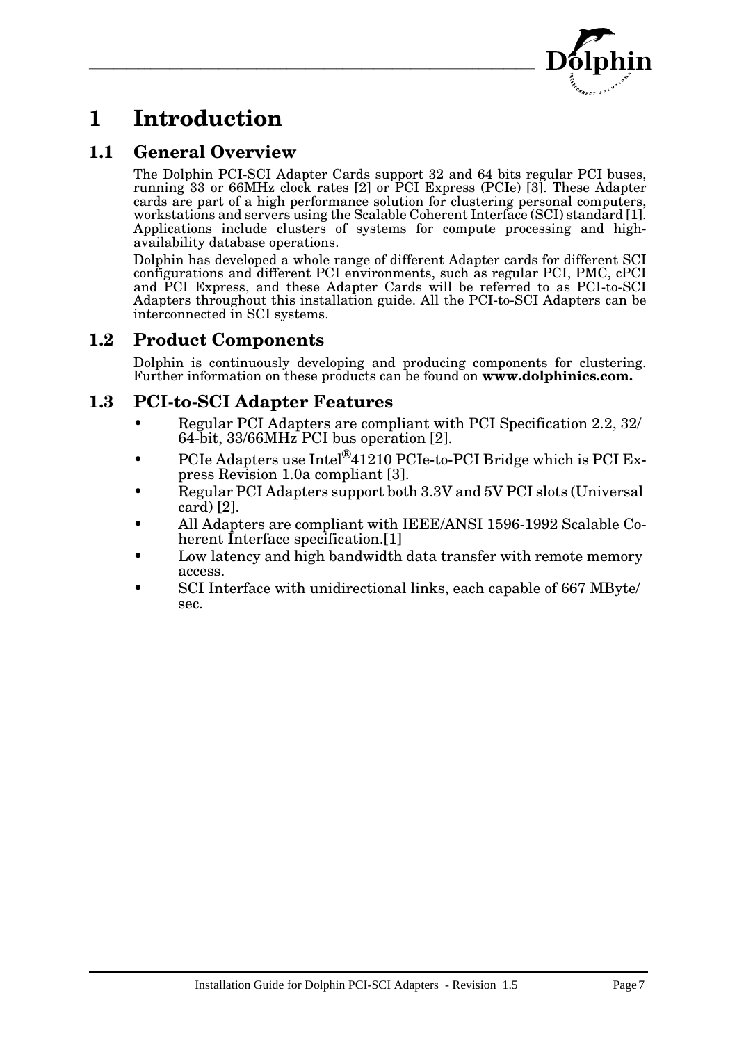

## **1 Introduction**

### **1.1 General Overview**

The Dolphin PCI-SCI Adapter Cards support 32 and 64 bits regular PCI buses, running 33 or 66MHz clock rates [2] or PCI Express (PCIe) [3]. These Adapter cards are part of a high performance solution for clustering personal computers, workstations and servers using the Scalable Coherent Interface (SCI) standard [1]. Applications include clusters of systems for compute processing and highavailability database operations.

\_\_\_\_\_\_\_\_\_\_\_\_\_\_\_\_\_\_\_\_\_\_\_\_\_\_\_\_\_\_\_\_\_\_\_\_\_\_\_\_\_\_\_\_\_\_\_\_\_\_\_\_\_\_\_\_\_\_\_\_\_\_\_\_\_\_\_\_\_\_\_\_

Dolphin has developed a whole range of different Adapter cards for different SCI configurations and different PCI environments, such as regular PCI, PMC, cPCI and PCI Express, and these Adapter Cards will be referred to as PCI-to-SCI Adapters throughout this installation guide. All the PCI-to-SCI Adapters can be interconnected in SCI systems.

### **1.2 Product Components**

Dolphin is continuously developing and producing components for clustering. Further information on these products can be found on **www.dolphinics.com.**

### **1.3 PCI-to-SCI Adapter Features**

- Regular PCI Adapters are compliant with PCI Specification 2.2, 32/ 64-bit, 33/66MHz PCI bus operation [2].
- PCIe Adapters use Intel<sup>®</sup>41210 PCIe-to-PCI Bridge which is PCI Express Revision 1.0a compliant [3].
- Regular PCI Adapters support both 3.3V and 5V PCI slots (Universal card) [2].
- All Adapters are compliant with IEEE/ANSI 1596-1992 Scalable Coherent Interface specification.<sup>[1]</sup>
- Low latency and high bandwidth data transfer with remote memory access.
- SCI Interface with unidirectional links, each capable of 667 MByte/ sec.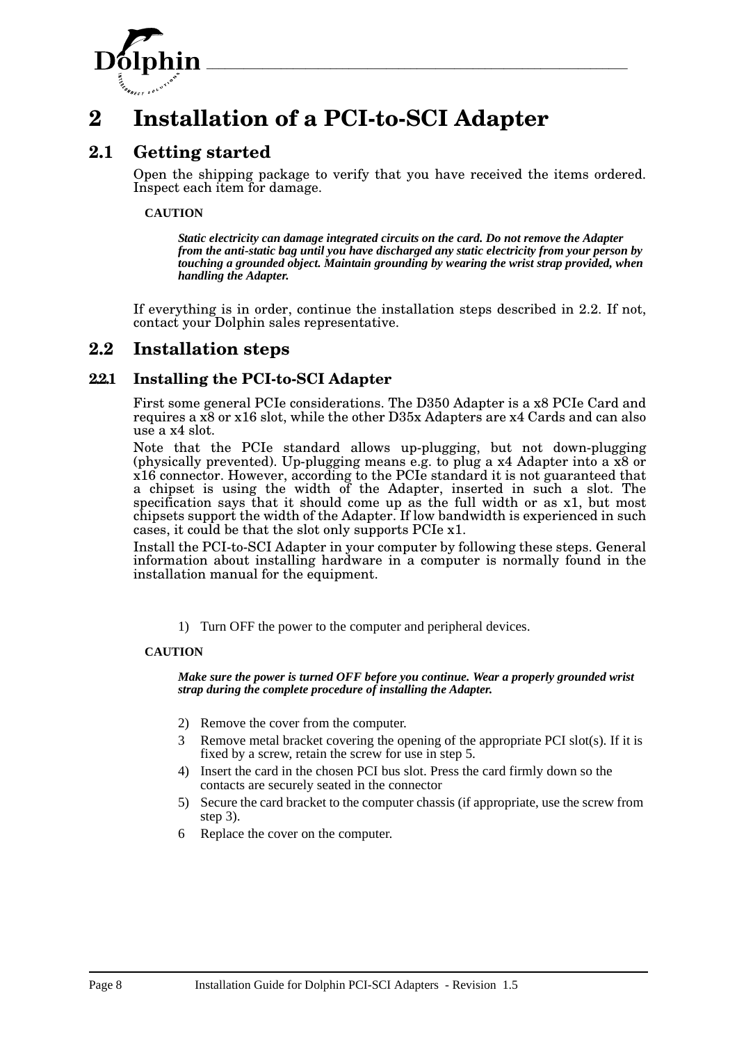

## **2 Installation of a PCI-to-SCI Adapter**

### **2.1 Getting started**

Open the shipping package to verify that you have received the items ordered. Inspect each item for damage.

#### **CAUTION**

*Static electricity can damage integrated circuits on the card. Do not remove the Adapter from the anti-static bag until you have discharged any static electricity from your person by touching a grounded object. Maintain grounding by wearing the wrist strap provided, when handling the Adapter.*

If everything is in order, continue the installation steps described in 2.2. If not, contact your Dolphin sales representative.

#### **2.2 Installation steps**

#### **2.2.1 Installing the PCI-to-SCI Adapter**

First some general PCIe considerations. The D350 Adapter is a x8 PCIe Card and requires a x8 or x16 slot, while the other D35x Adapters are x4 Cards and can also use a x4 slot.

Note that the PCIe standard allows up-plugging, but not down-plugging (physically prevented). Up-plugging means e.g. to plug a x4 Adapter into a x8 or x16 connector. However, according to the PCIe standard it is not guaranteed that a chipset is using the width of the Adapter, inserted in such a slot. The specification says that it should come up as the full width or as x1, but most chipsets support the width of the Adapter. If low bandwidth is experienced in such cases, it could be that the slot only supports PCIe x1.

Install the PCI-to-SCI Adapter in your computer by following these steps. General information about installing hardware in a computer is normally found in the installation manual for the equipment.

1) Turn OFF the power to the computer and peripheral devices.

#### **CAUTION**

*Make sure the power is turned OFF before you continue. Wear a properly grounded wrist strap during the complete procedure of installing the Adapter.*

- 2) Remove the cover from the computer.
- 3 Remove metal bracket covering the opening of the appropriate PCI slot(s). If it is fixed by a screw, retain the screw for use in step 5.
- 4) Insert the card in the chosen PCI bus slot. Press the card firmly down so the contacts are securely seated in the connector
- 5) Secure the card bracket to the computer chassis (if appropriate, use the screw from step 3).
- 6 Replace the cover on the computer.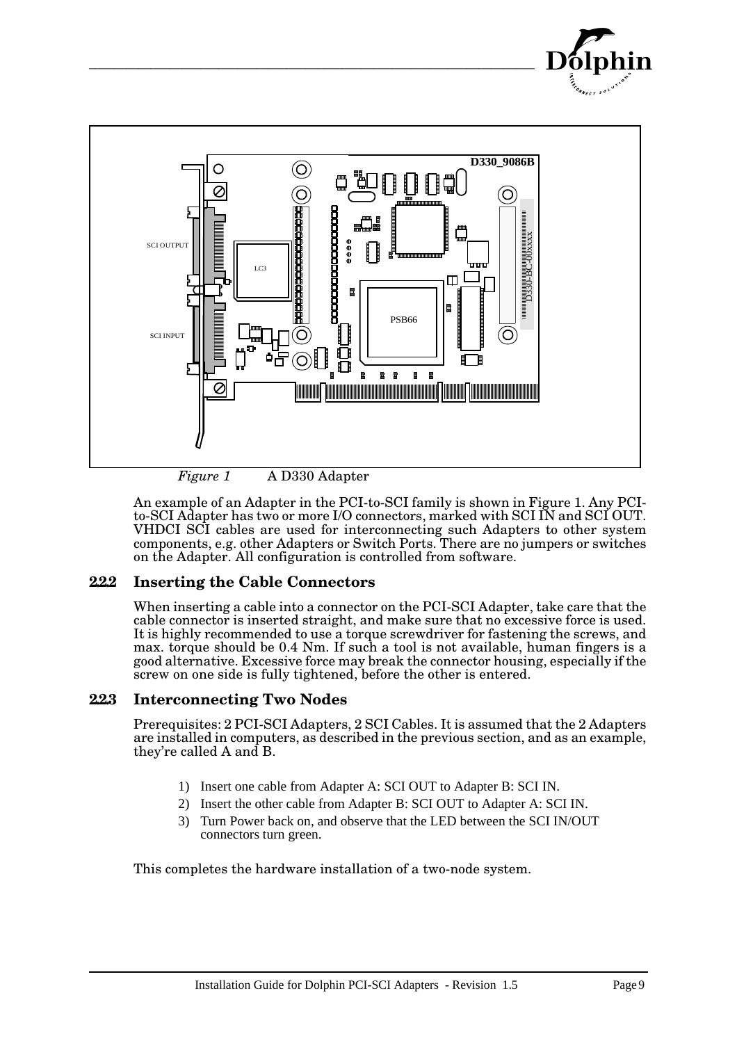



\_\_\_\_\_\_\_\_\_\_\_\_\_\_\_\_\_\_\_\_\_\_\_\_\_\_\_\_\_\_\_\_\_\_\_\_\_\_\_\_\_\_\_\_\_\_\_\_\_\_\_\_\_\_\_\_\_\_\_\_\_\_\_\_\_\_\_\_\_\_\_\_

*Figure 1* A D330 Adapter

An example of an Adapter in the PCI-to-SCI family is shown in Figure 1. Any PCIto-SCI Adapter has two or more I/O connectors, marked with SCI IN and SCI OUT. VHDCI SCI cables are used for interconnecting such Adapters to other system components, e.g. other Adapters or Switch Ports. There are no jumpers or switches on the Adapter. All configuration is controlled from software.

#### **2.2.2 Inserting the Cable Connectors**

When inserting a cable into a connector on the PCI-SCI Adapter, take care that the cable connector is inserted straight, and make sure that no excessive force is used. It is highly recommended to use a torque screwdriver for fastening the screws, and max. torque should be 0.4 Nm. If such a tool is not available, human fingers is a good alternative. Excessive force may break the connector housing, especially if the screw on one side is fully tightened, before the other is entered.

#### **2.2.3 Interconnecting Two Nodes**

Prerequisites: 2 PCI-SCI Adapters, 2 SCI Cables. It is assumed that the 2 Adapters are installed in computers, as described in the previous section, and as an example, they're called A and B.

- 1) Insert one cable from Adapter A: SCI OUT to Adapter B: SCI IN.
- 2) Insert the other cable from Adapter B: SCI OUT to Adapter A: SCI IN.
- 3) Turn Power back on, and observe that the LED between the SCI IN/OUT connectors turn green.

This completes the hardware installation of a two-node system.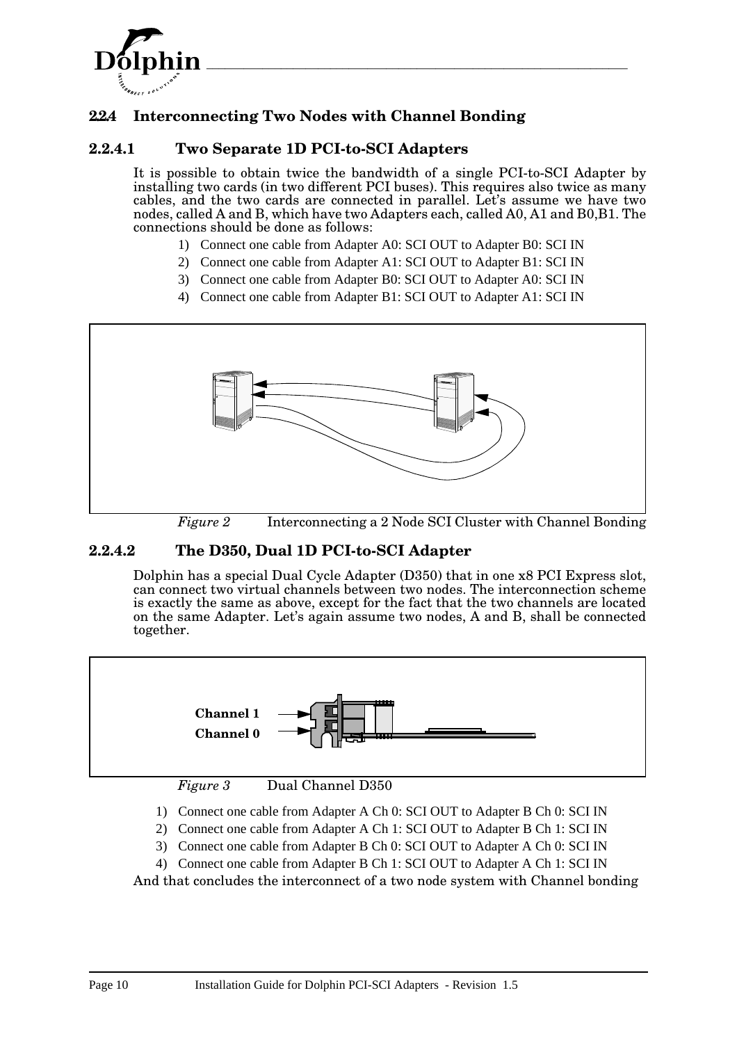

### **2.2.4 Interconnecting Two Nodes with Channel Bonding**

#### **2.2.4.1 Two Separate 1D PCI-to-SCI Adapters**

It is possible to obtain twice the bandwidth of a single PCI-to-SCI Adapter by installing two cards (in two different PCI buses). This requires also twice as many cables, and the two cards are connected in parallel. Let's assume we have two nodes, called A and B, which have two Adapters each, called A0, A1 and B0,B1. The connections should be done as follows:

\_\_\_\_\_\_\_\_\_\_\_\_\_\_\_\_\_\_\_\_\_\_\_\_\_\_\_\_\_\_\_\_\_\_\_\_\_\_\_\_\_\_\_\_\_\_\_\_\_\_\_\_\_\_\_\_\_\_\_\_\_\_\_\_\_\_\_\_

- 1) Connect one cable from Adapter A0: SCI OUT to Adapter B0: SCI IN
- 2) Connect one cable from Adapter A1: SCI OUT to Adapter B1: SCI IN
- 3) Connect one cable from Adapter B0: SCI OUT to Adapter A0: SCI IN
- 4) Connect one cable from Adapter B1: SCI OUT to Adapter A1: SCI IN



*Figure* 2 Interconnecting a 2 Node SCI Cluster with Channel Bonding

#### **2.2.4.2 The D350, Dual 1D PCI-to-SCI Adapter**

Dolphin has a special Dual Cycle Adapter (D350) that in one x8 PCI Express slot, can connect two virtual channels between two nodes. The interconnection scheme is exactly the same as above, except for the fact that the two channels are located on the same Adapter. Let's again assume two nodes, A and B, shall be connected together.



1) Connect one cable from Adapter A Ch 0: SCI OUT to Adapter B Ch 0: SCI IN

2) Connect one cable from Adapter A Ch 1: SCI OUT to Adapter B Ch 1: SCI IN

- 3) Connect one cable from Adapter B Ch 0: SCI OUT to Adapter A Ch 0: SCI IN
- 4) Connect one cable from Adapter B Ch 1: SCI OUT to Adapter A Ch 1: SCI IN

And that concludes the interconnect of a two node system with Channel bonding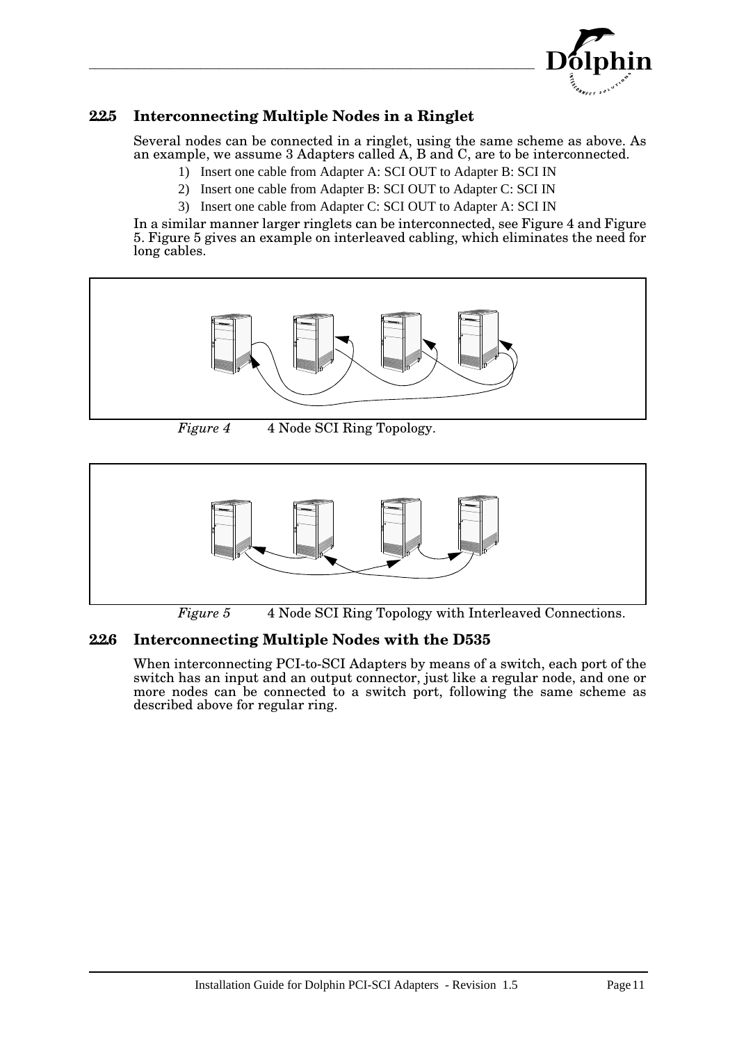

#### **2.2.5 Interconnecting Multiple Nodes in a Ringlet**

\_\_\_\_\_\_\_\_\_\_\_\_\_\_\_\_\_\_\_\_\_\_\_\_\_\_\_\_\_\_\_\_\_\_\_\_\_\_\_\_\_\_\_\_\_\_\_\_\_\_\_\_\_\_\_\_\_\_\_\_\_\_\_\_\_\_\_\_\_\_\_\_

Several nodes can be connected in a ringlet, using the same scheme as above. As an example, we assume 3 Adapters called A, B and C, are to be interconnected.

- 1) Insert one cable from Adapter A: SCI OUT to Adapter B: SCI IN
- 2) Insert one cable from Adapter B: SCI OUT to Adapter C: SCI IN
- 3) Insert one cable from Adapter C: SCI OUT to Adapter A: SCI IN

In a similar manner larger ringlets can be interconnected, see Figure 4 and Figure 5. Figure 5 gives an example on interleaved cabling, which eliminates the need for long cables.



*Figure* 4 4 Node SCI Ring Topology.



#### **2.2.6 Interconnecting Multiple Nodes with the D535**

When interconnecting PCI-to-SCI Adapters by means of a switch, each port of the switch has an input and an output connector, just like a regular node, and one or more nodes can be connected to a switch port, following the same scheme as described above for regular ring.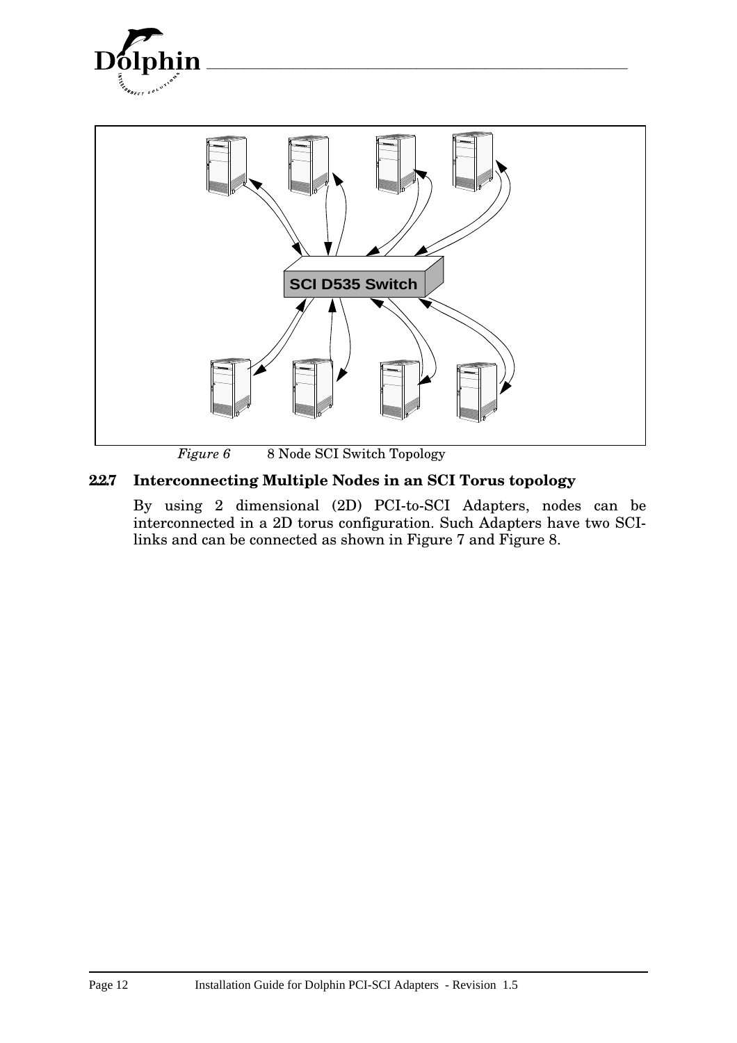



### **2.2.7 Interconnecting Multiple Nodes in an SCI Torus topology**

By using 2 dimensional (2D) PCI-to-SCI Adapters, nodes can be interconnected in a 2D torus configuration. Such Adapters have two SCIlinks and can be connected as shown in Figure 7 and Figure 8.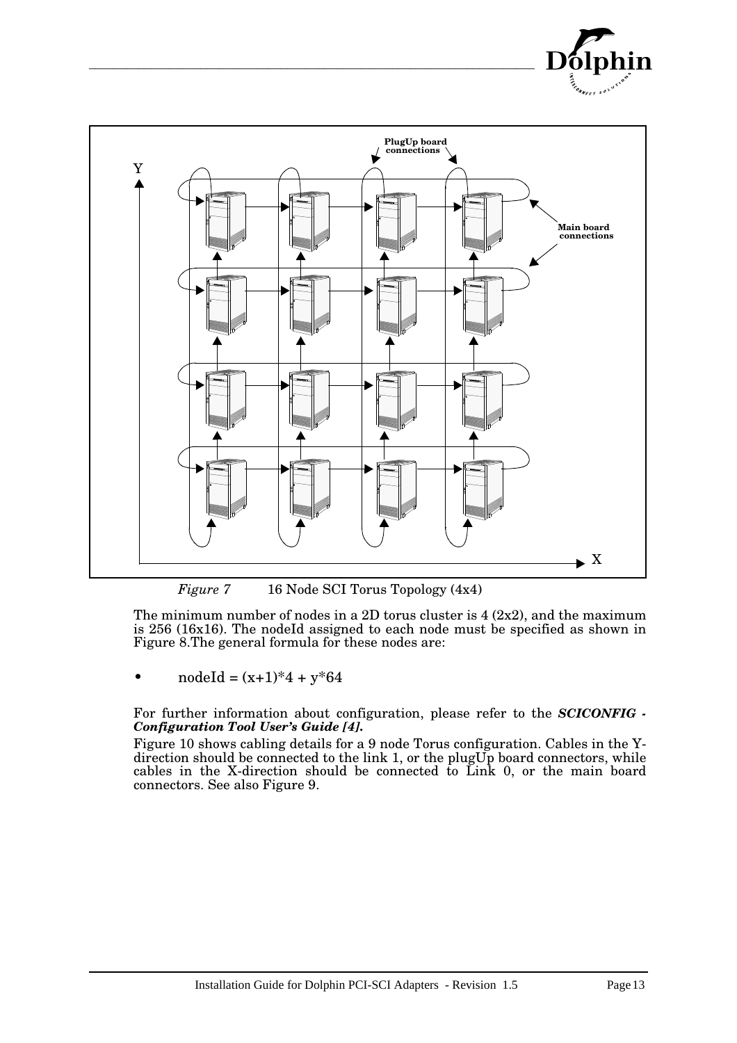



\_\_\_\_\_\_\_\_\_\_\_\_\_\_\_\_\_\_\_\_\_\_\_\_\_\_\_\_\_\_\_\_\_\_\_\_\_\_\_\_\_\_\_\_\_\_\_\_\_\_\_\_\_\_\_\_\_\_\_\_\_\_\_\_\_\_\_\_\_\_\_\_

*Figure 7* 16 Node SCI Torus Topology (4x4)

The minimum number of nodes in a 2D torus cluster is  $4 (2x2)$ , and the maximum is 256 (16x16). The nodeId assigned to each node must be specified as shown in Figure 8.The general formula for these nodes are:

 $nodeId = (x+1)*4 + y*64$ 

For further information about configuration, please refer to the *SCICONFIG - Configuration Tool User's Guide [4].*

Figure 10 shows cabling details for a 9 node Torus configuration. Cables in the Ydirection should be connected to the link 1, or the plugUp board connectors, while cables in the X-direction should be connected to Link 0, or the main board connectors. See also Figure 9.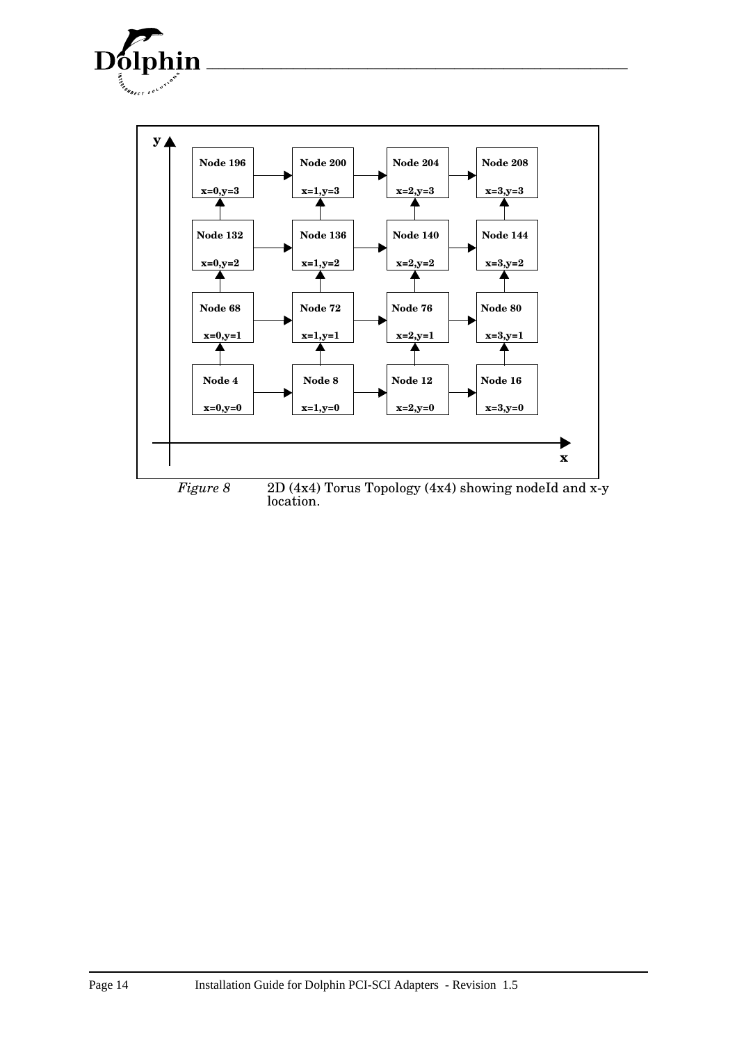

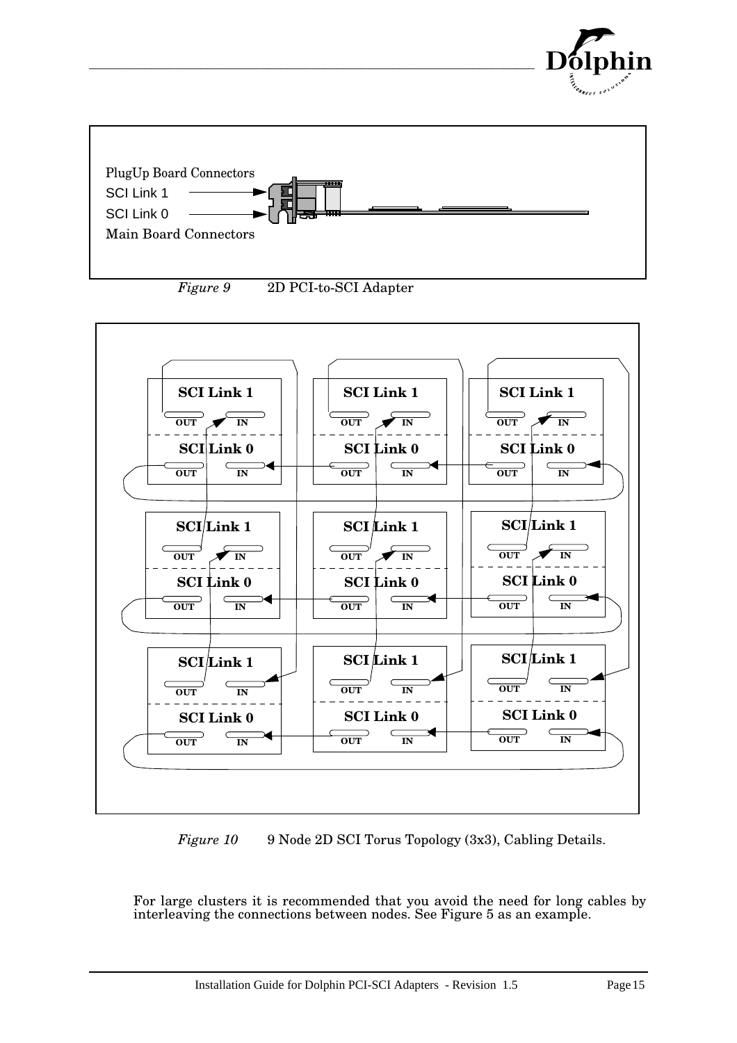



*Figure 9* 2D PCI-to-SCI Adapter

\_\_\_\_\_\_\_\_\_\_\_\_\_\_\_\_\_\_\_\_\_\_\_\_\_\_\_\_\_\_\_\_\_\_\_\_\_\_\_\_\_\_\_\_\_\_\_\_\_\_\_\_\_\_\_\_\_\_\_\_\_\_\_\_\_\_\_\_\_\_\_\_



*Figure 10* 9 Node 2D SCI Torus Topology (3x3), Cabling Details.

For large clusters it is recommended that you avoid the need for long cables by interleaving the connections between nodes. See Figure 5 as an example.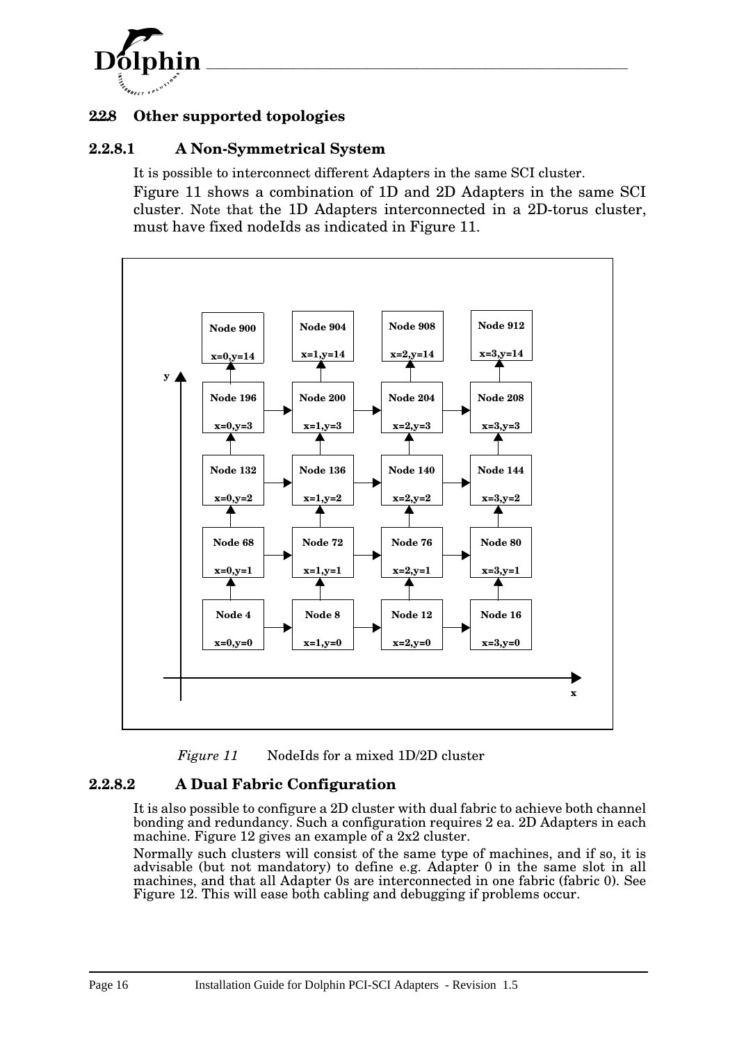

#### **2.2.8 Other supported topologies**

#### **2.2.8.1 A Non-Symmetrical System**

It is possible to interconnect different Adapters in the same SCI cluster. Figure 11 shows a combination of 1D and 2D Adapters in the same SCI cluster. Note that the 1D Adapters interconnected in a 2D-torus cluster, must have fixed nodeIds as indicated in Figure 11.

\_\_\_\_\_\_\_\_\_\_\_\_\_\_\_\_\_\_\_\_\_\_\_\_\_\_\_\_\_\_\_\_\_\_\_\_\_\_\_\_\_\_\_\_\_\_\_\_\_\_\_\_\_\_\_\_\_\_\_\_\_\_\_\_\_\_\_\_



*Figure 11* NodeIds for a mixed 1D/2D cluster

#### **2.2.8.2 A Dual Fabric Configuration**

It is also possible to configure a 2D cluster with dual fabric to achieve both channel bonding and redundancy. Such a configuration requires 2 ea. 2D Adapters in each machine. Figure 12 gives an example of a 2x2 cluster.

Normally such clusters will consist of the same type of machines, and if so, it is advisable (but not mandatory) to define e.g. Adapter 0 in the same slot in all machines, and that all Adapter 0s are interconnected in one fabric (fabric 0). See Figure 12. This will ease both cabling and debugging if problems occur.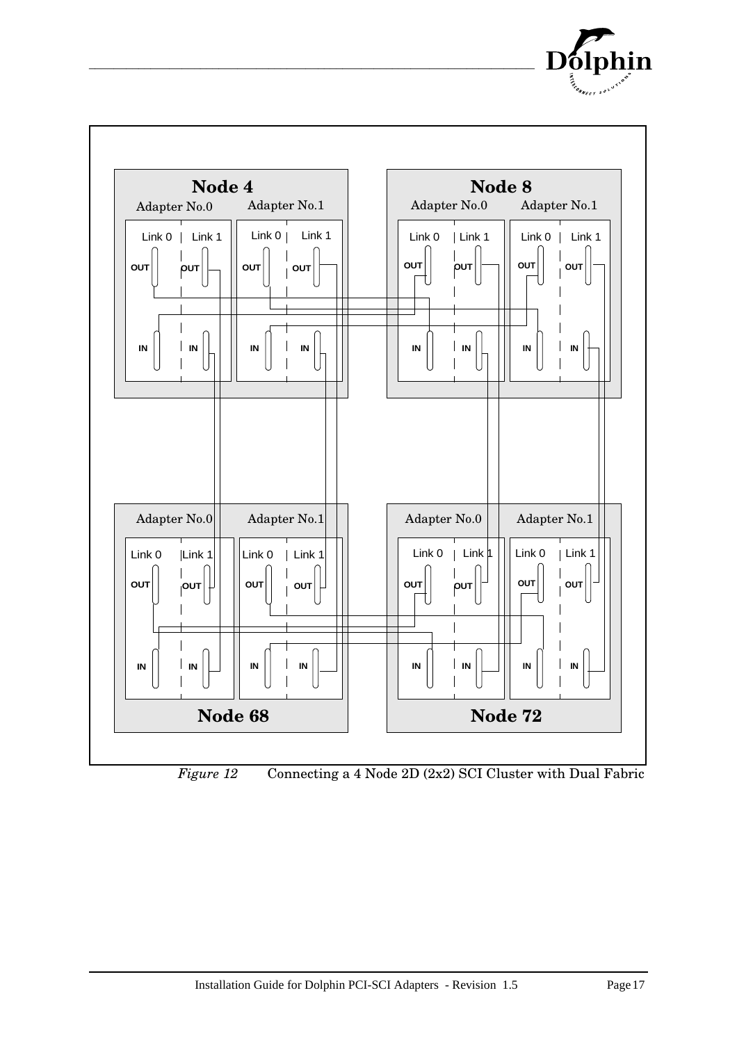



\_\_\_\_\_\_\_\_\_\_\_\_\_\_\_\_\_\_\_\_\_\_\_\_\_\_\_\_\_\_\_\_\_\_\_\_\_\_\_\_\_\_\_\_\_\_\_\_\_\_\_\_\_\_\_\_\_\_\_\_\_\_\_\_\_\_\_\_\_\_\_\_

*Figure* 12 Connecting a 4 Node 2D (2x2) SCI Cluster with Dual Fabric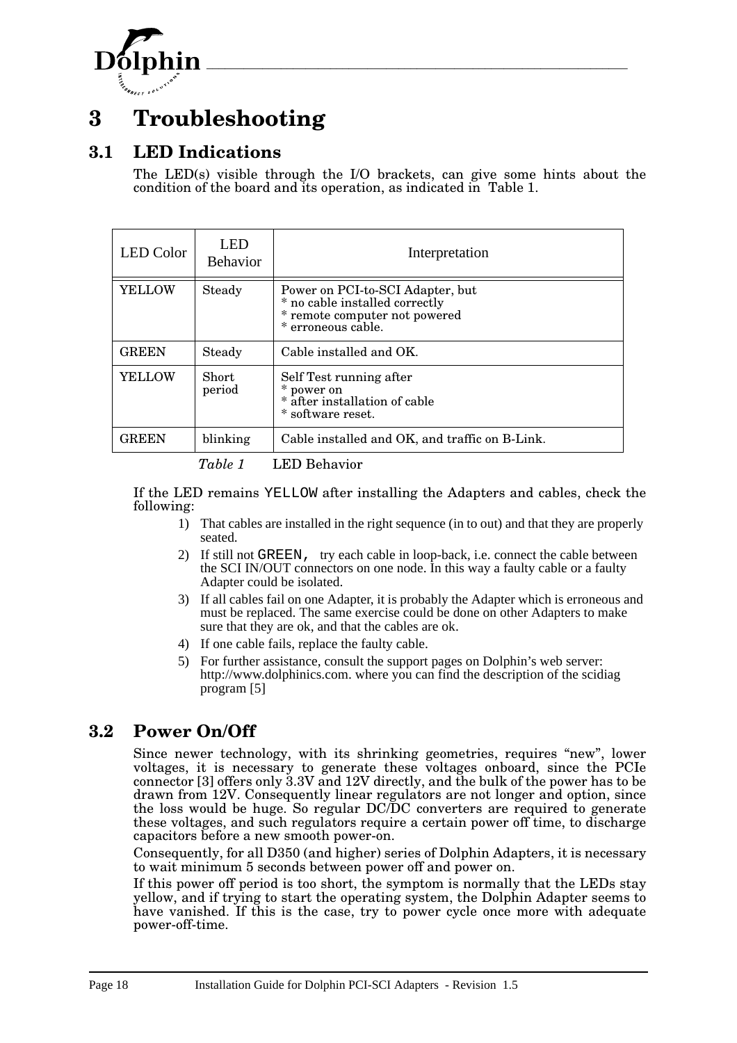

## **3 Troubleshooting**

## **3.1 LED Indications**

The LED(s) visible through the I/O brackets, can give some hints about the condition of the board and its operation, as indicated in Table 1.

| <b>LED</b> Color | LED <sub>1</sub><br><b>Behavior</b> | Interpretation                                                                                                            |
|------------------|-------------------------------------|---------------------------------------------------------------------------------------------------------------------------|
| YELLOW           | Steady                              | Power on PCI-to-SCI Adapter, but<br>* no cable installed correctly<br>* remote computer not powered<br>* erroneous cable. |
| <b>GREEN</b>     | Steady                              | Cable installed and OK.                                                                                                   |
| YELLOW           | <b>Short</b><br>period              | Self Test running after<br>* power on<br>* after installation of cable<br>* software reset.                               |
| <b>GREEN</b>     | blinking                            | Cable installed and OK, and traffic on B-Link.                                                                            |

*Table 1* LED Behavior

If the LED remains YELLOW after installing the Adapters and cables, check the following:

- 1) That cables are installed in the right sequence (in to out) and that they are properly seated.
- 2) If still not GREEN, try each cable in loop-back, i.e. connect the cable between the SCI IN/OUT connectors on one node. In this way a faulty cable or a faulty Adapter could be isolated.
- 3) If all cables fail on one Adapter, it is probably the Adapter which is erroneous and must be replaced. The same exercise could be done on other Adapters to make sure that they are ok, and that the cables are ok.
- 4) If one cable fails, replace the faulty cable.
- 5) For further assistance, consult the support pages on Dolphin's web server: http://www.dolphinics.com. where you can find the description of the scidiag program [5]

## **3.2 Power On/Off**

Since newer technology, with its shrinking geometries, requires "new", lower voltages, it is necessary to generate these voltages onboard, since the PCIe connector [3] offers only 3.3V and 12V directly, and the bulk of the power has to be drawn from 12V. Consequently linear regulators are not longer and option, since the loss would be huge. So regular DC/DC converters are required to generate these voltages, and such regulators require a certain power off time, to discharge capacitors before a new smooth power-on.

Consequently, for all D350 (and higher) series of Dolphin Adapters, it is necessary to wait minimum 5 seconds between power off and power on.

If this power off period is too short, the symptom is normally that the LEDs stay yellow, and if trying to start the operating system, the Dolphin Adapter seems to have vanished. If this is the case, try to power cycle once more with adequate power-off-time.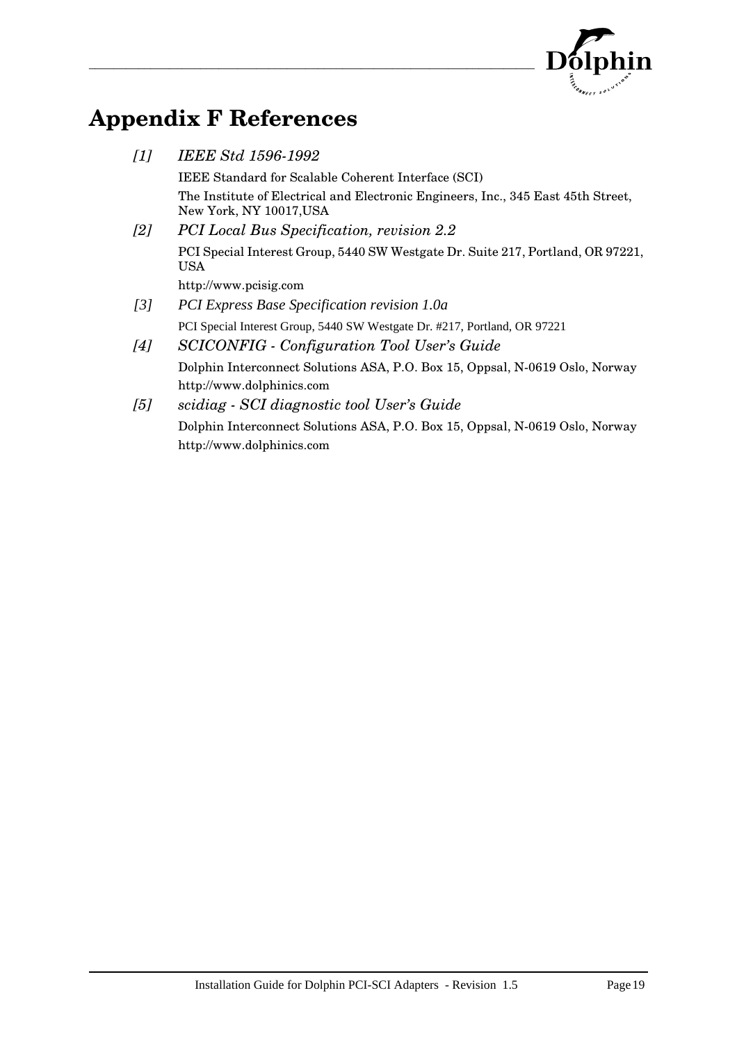

## **Appendix F References**

\_\_\_\_\_\_\_\_\_\_\_\_\_\_\_\_\_\_\_\_\_\_\_\_\_\_\_\_\_\_\_\_\_\_\_\_\_\_\_\_\_\_\_\_\_\_\_\_\_\_\_\_\_\_\_\_\_\_\_\_\_\_\_\_\_\_\_\_\_\_\_\_

| $\int$           | IEEE Std 1596-1992                                                                                           |
|------------------|--------------------------------------------------------------------------------------------------------------|
|                  | IEEE Standard for Scalable Coherent Interface (SCI)                                                          |
|                  | The Institute of Electrical and Electronic Engineers, Inc., 345 East 45th Street,<br>New York, NY 10017, USA |
| [2]              | PCI Local Bus Specification, revision 2.2                                                                    |
|                  | PCI Special Interest Group, 5440 SW Westgate Dr. Suite 217, Portland, OR 97221,<br><b>USA</b>                |
|                  | http://www.pcisig.com                                                                                        |
| $\left[3\right]$ | PCI Express Base Specification revision 1.0a                                                                 |
|                  | PCI Special Interest Group, 5440 SW Westgate Dr. #217, Portland, OR 97221                                    |
| [4]              | SCICONFIG - Configuration Tool User's Guide                                                                  |
|                  | Dolphin Interconnect Solutions ASA, P.O. Box 15, Oppsal, N-0619 Oslo, Norway                                 |
|                  | http://www.dolphinics.com                                                                                    |
| [5]              | scidiag - SCI diagnostic tool User's Guide                                                                   |

Dolphin Interconnect Solutions ASA, P.O. Box 15, Oppsal, N-0619 Oslo, Norway http://www.dolphinics.com